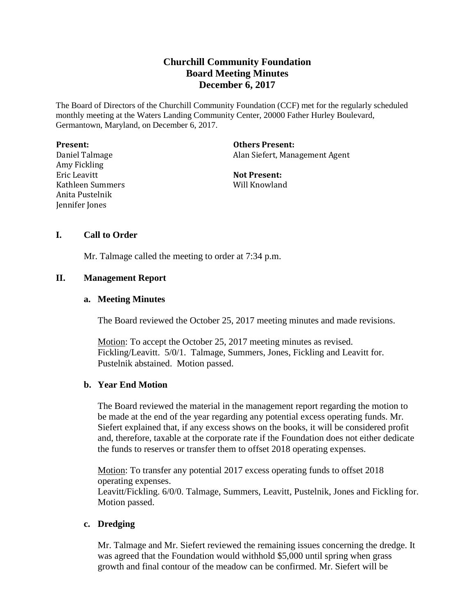# **Churchill Community Foundation Board Meeting Minutes December 6, 2017**

The Board of Directors of the Churchill Community Foundation (CCF) met for the regularly scheduled monthly meeting at the Waters Landing Community Center, 20000 Father Hurley Boulevard, Germantown, Maryland, on December 6, 2017.

| <b>Present:</b>  |
|------------------|
| Daniel Talmage   |
| Amy Fickling     |
| Eric Leavitt     |
| Kathleen Summers |
| Anita Pustelnik  |
| Jennifer Jones   |

**Others Present:** Alan Siefert, Management Agent

**Not Present:** Will Knowland

# **I. Call to Order**

Mr. Talmage called the meeting to order at 7:34 p.m.

# **II. Management Report**

# **a. Meeting Minutes**

The Board reviewed the October 25, 2017 meeting minutes and made revisions.

Motion: To accept the October 25, 2017 meeting minutes as revised. Fickling/Leavitt. 5/0/1. Talmage, Summers, Jones, Fickling and Leavitt for. Pustelnik abstained. Motion passed.

# **b. Year End Motion**

The Board reviewed the material in the management report regarding the motion to be made at the end of the year regarding any potential excess operating funds. Mr. Siefert explained that, if any excess shows on the books, it will be considered profit and, therefore, taxable at the corporate rate if the Foundation does not either dedicate the funds to reserves or transfer them to offset 2018 operating expenses.

Motion: To transfer any potential 2017 excess operating funds to offset 2018 operating expenses.

Leavitt/Fickling. 6/0/0. Talmage, Summers, Leavitt, Pustelnik, Jones and Fickling for. Motion passed.

### **c. Dredging**

Mr. Talmage and Mr. Siefert reviewed the remaining issues concerning the dredge. It was agreed that the Foundation would withhold \$5,000 until spring when grass growth and final contour of the meadow can be confirmed. Mr. Siefert will be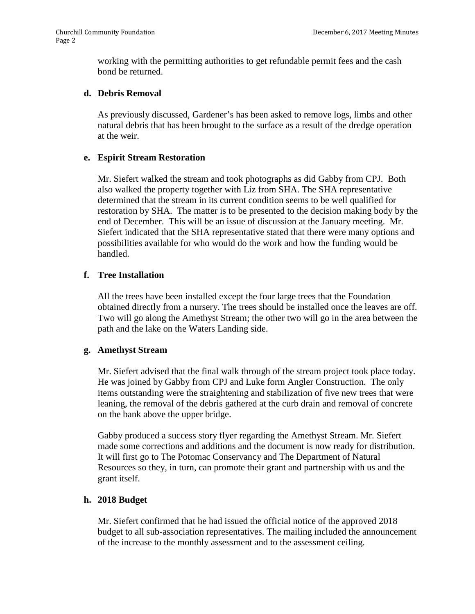working with the permitting authorities to get refundable permit fees and the cash bond be returned.

### **d. Debris Removal**

As previously discussed, Gardener's has been asked to remove logs, limbs and other natural debris that has been brought to the surface as a result of the dredge operation at the weir.

#### **e. Espirit Stream Restoration**

Mr. Siefert walked the stream and took photographs as did Gabby from CPJ. Both also walked the property together with Liz from SHA. The SHA representative determined that the stream in its current condition seems to be well qualified for restoration by SHA. The matter is to be presented to the decision making body by the end of December. This will be an issue of discussion at the January meeting. Mr. Siefert indicated that the SHA representative stated that there were many options and possibilities available for who would do the work and how the funding would be handled.

### **f. Tree Installation**

All the trees have been installed except the four large trees that the Foundation obtained directly from a nursery. The trees should be installed once the leaves are off. Two will go along the Amethyst Stream; the other two will go in the area between the path and the lake on the Waters Landing side.

#### **g. Amethyst Stream**

Mr. Siefert advised that the final walk through of the stream project took place today. He was joined by Gabby from CPJ and Luke form Angler Construction. The only items outstanding were the straightening and stabilization of five new trees that were leaning, the removal of the debris gathered at the curb drain and removal of concrete on the bank above the upper bridge.

Gabby produced a success story flyer regarding the Amethyst Stream. Mr. Siefert made some corrections and additions and the document is now ready for distribution. It will first go to The Potomac Conservancy and The Department of Natural Resources so they, in turn, can promote their grant and partnership with us and the grant itself.

### **h. 2018 Budget**

Mr. Siefert confirmed that he had issued the official notice of the approved 2018 budget to all sub-association representatives. The mailing included the announcement of the increase to the monthly assessment and to the assessment ceiling.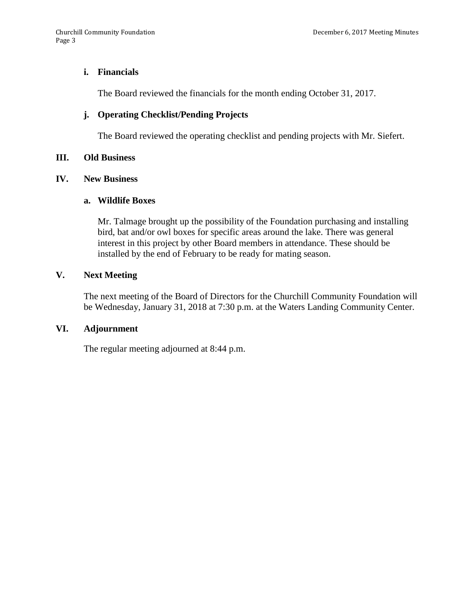## **i. Financials**

The Board reviewed the financials for the month ending October 31, 2017.

# **j. Operating Checklist/Pending Projects**

The Board reviewed the operating checklist and pending projects with Mr. Siefert.

### **III. Old Business**

### **IV. New Business**

### **a. Wildlife Boxes**

Mr. Talmage brought up the possibility of the Foundation purchasing and installing bird, bat and/or owl boxes for specific areas around the lake. There was general interest in this project by other Board members in attendance. These should be installed by the end of February to be ready for mating season.

# **V. Next Meeting**

The next meeting of the Board of Directors for the Churchill Community Foundation will be Wednesday, January 31, 2018 at 7:30 p.m. at the Waters Landing Community Center.

# **VI. Adjournment**

The regular meeting adjourned at 8:44 p.m.